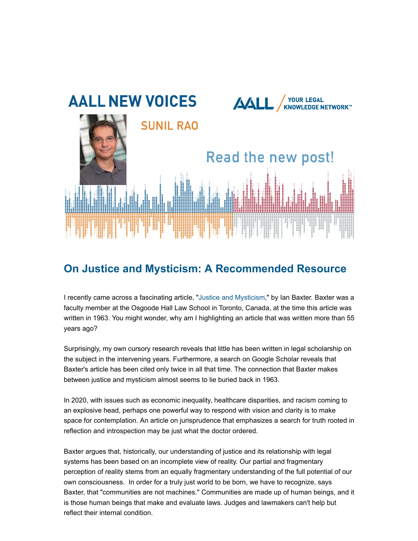

## **On Justice and Mysticism: A Recommended Resource**

I recently came across a fascinating article, "[Justice and Mysticism](https://www.jstor.org/stable/23940454?seq=1)," by Ian Baxter. Baxter was a faculty member at the Osgoode Hall Law School in Toronto, Canada, at the time this article was written in 1963. You might wonder, why am I highlighting an article that was written more than 55 years ago?

Surprisingly, my own cursory research reveals that little has been written in legal scholarship on the subject in the intervening years. Furthermore, a search on Google Scholar reveals that Baxter's article has been cited only twice in all that time. The connection that Baxter makes between justice and mysticism almost seems to lie buried back in 1963.

In 2020, with issues such as economic inequality, healthcare disparities, and racism coming to an explosive head, perhaps one powerful way to respond with vision and clarity is to make space for contemplation. An article on jurisprudence that emphasizes a search for truth rooted in reflection and introspection may be just what the doctor ordered.

Baxter argues that, historically, our understanding of justice and its relationship with legal systems has been based on an incomplete view of reality. Our partial and fragmentary perception of reality stems from an equally fragmentary understanding of the full potential of our own consciousness. In order for a truly just world to be born, we have to recognize, says Baxter, that "communities are not machines." Communities are made up of human beings, and it is those human beings that make and evaluate laws. Judges and lawmakers can't help but reflect their internal condition.